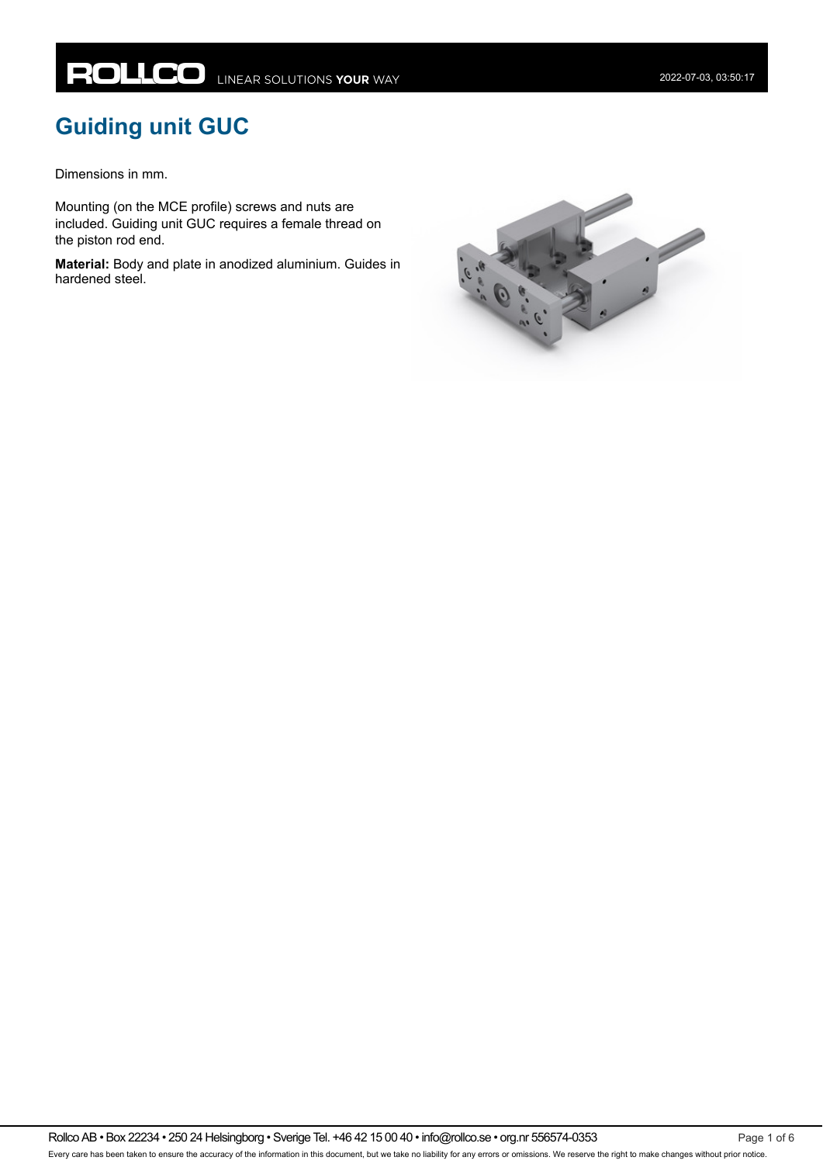# **Guiding unit GUC**

Dimensions in mm.

Mounting (on the MCE profile) screws and nuts are included. Guiding unit GUC requires a female thread on the piston rod end.

**Material:** Body and plate in anodized aluminium. Guides in hardened steel.

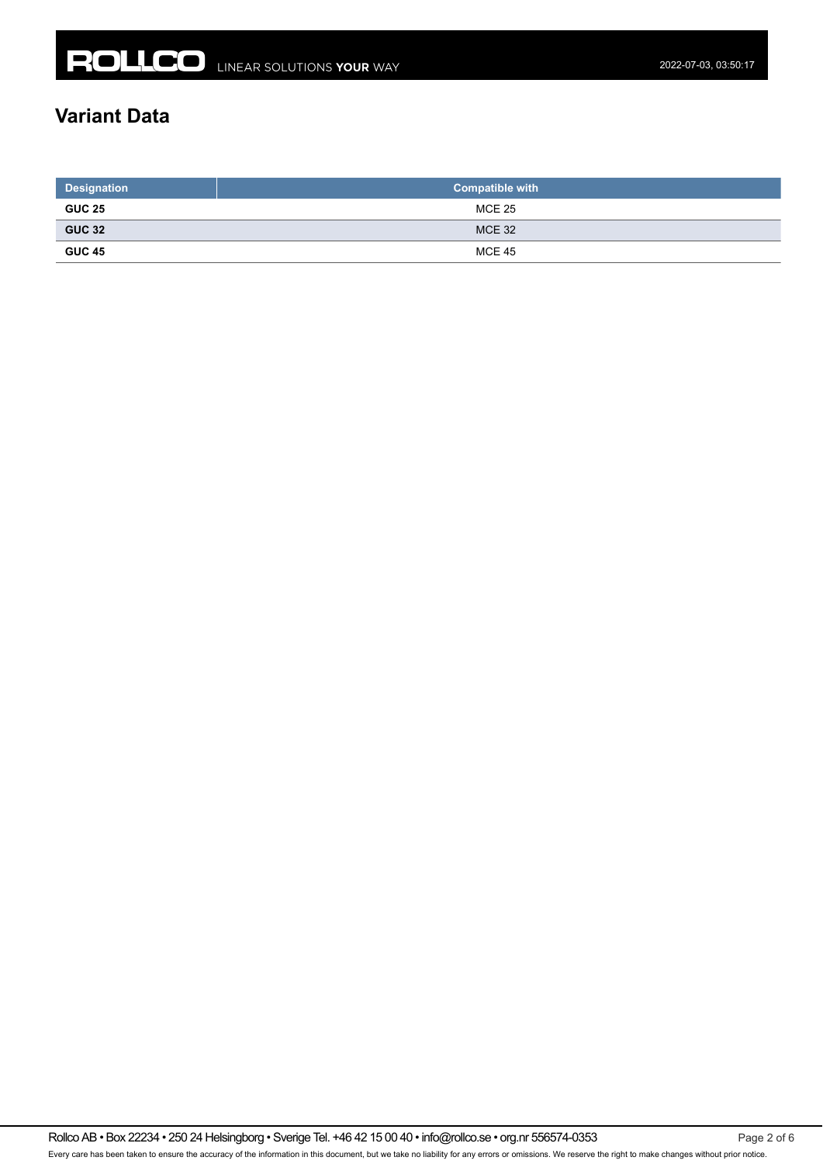## **Variant Data**

| <b>Designation</b> | Compatible with <b>b</b> |  |  |  |
|--------------------|--------------------------|--|--|--|
| <b>GUC 25</b>      | MCE 25                   |  |  |  |
| <b>GUC 32</b>      | <b>MCE 32</b>            |  |  |  |
| <b>GUC 45</b>      | <b>MCE 45</b>            |  |  |  |

Rollco AB • Box 22234 • 250 24 Helsingborg • Sverige Tel. +46 42 15 00 40 • info@rollco.se • org.nr 556574-0353 Page 2 of 6 Every care has been taken to ensure the accuracy of the information in this document, but we take no liability for any errors or omissions. We reserve the right to make changes without prior notice.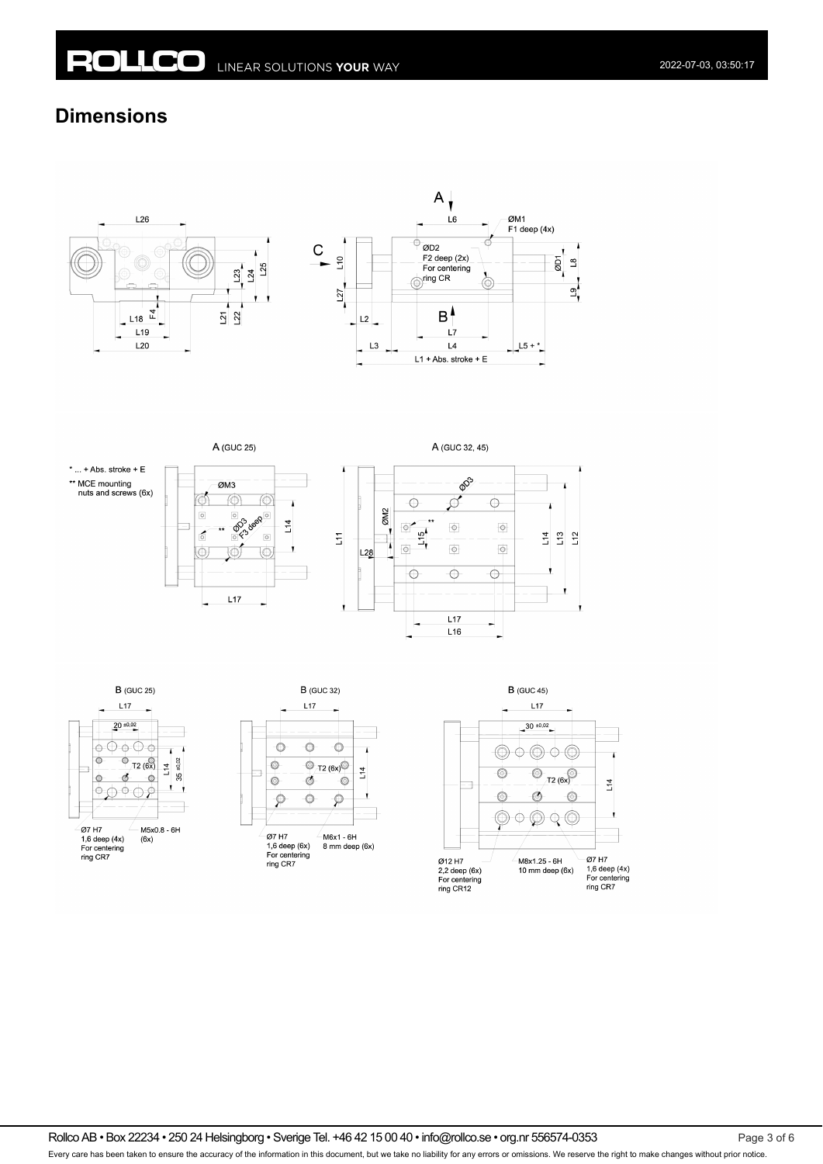### **Dimensions**





A (GUC 25)







A (GUC 32, 45)







Rollco AB • Box 22234 • 250 24 Helsingborg • Sverige Tel. +46 42 15 00 40 • info@rollco.se • org.nr 556574-0353 Page 3 of 6

Every care has been taken to ensure the accuracy of the information in this document, but we take no liability for any errors or omissions. We reserve the right to make changes without prior notice.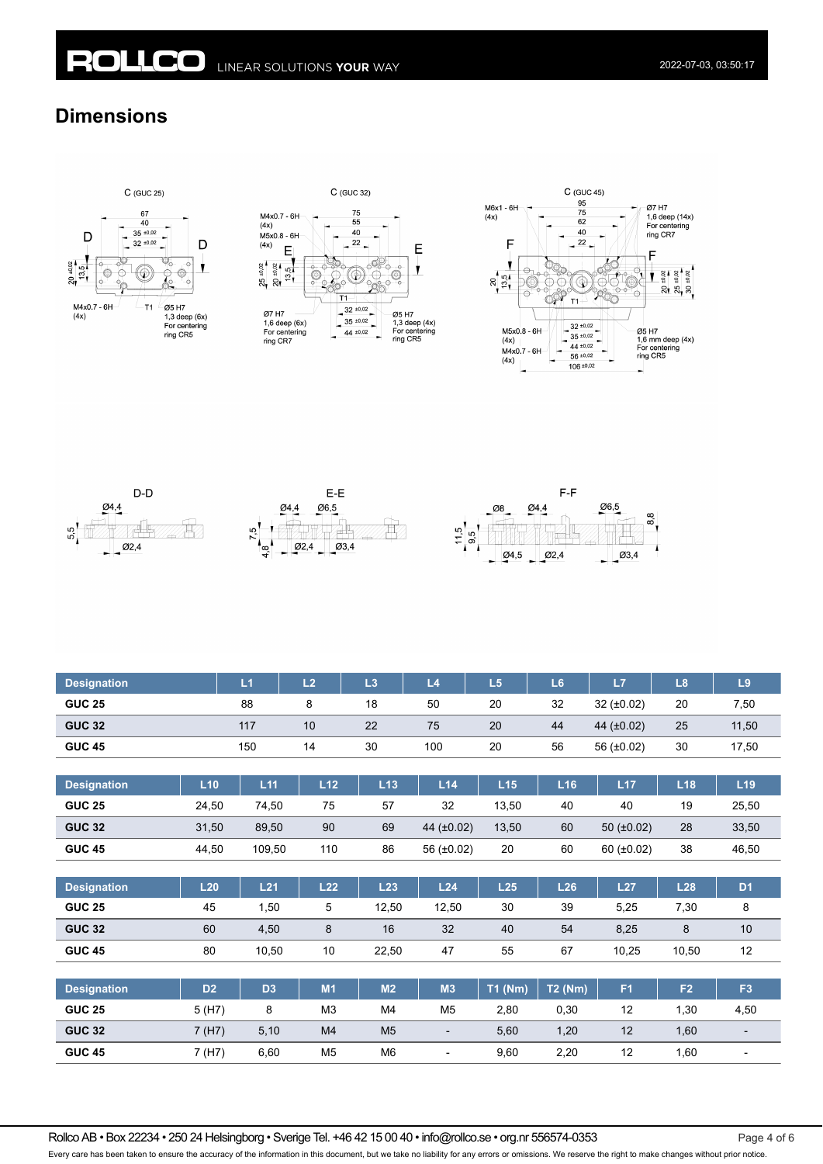### **Dimensions**













| <b>Designation</b> |                | L1             | L2             | L3             | L4                       | L5        | L6             | L7              | L8             | L9             |
|--------------------|----------------|----------------|----------------|----------------|--------------------------|-----------|----------------|-----------------|----------------|----------------|
| <b>GUC 25</b>      |                | 88             | 8              | 18             | 50                       | 20        | 32             | 32 $(\pm 0.02)$ | 20             | 7,50           |
| <b>GUC 32</b>      |                | 117            | 10             | 22             | 75                       | 20        | 44             | 44 (±0.02)      | 25             | 11,50          |
| <b>GUC 45</b>      |                | 150            | 14             | 30             | 100                      | 20        | 56             | 56 $(\pm 0.02)$ | 30             | 17,50          |
|                    |                |                |                |                |                          |           |                |                 |                |                |
| <b>Designation</b> | L10            | L11            | L12            | L13            | L14                      | L15       | L16            | L17             | L18            | L19            |
| <b>GUC 25</b>      | 24,50          | 74,50          | 75             | 57             | 32                       | 13,50     | 40             | 40              | 19             | 25,50          |
| <b>GUC 32</b>      | 31,50          | 89,50          | 90             | 69             | 44 (±0.02)               | 13,50     | 60             | 50 $(\pm 0.02)$ | 28             | 33,50          |
| <b>GUC 45</b>      | 44,50          | 109,50         | 110            | 86             | 56 $(\pm 0.02)$          | 20        | 60             | $60 (+0.02)$    | 38             | 46,50          |
|                    |                |                |                |                |                          |           |                |                 |                |                |
| <b>Designation</b> | L20            | L21            | L22            | L23            | L24                      | L25       | L26            | L27             | L28            | D <sub>1</sub> |
| <b>GUC 25</b>      | 45             | 1,50           | 5              | 12,50          | 12,50                    | 30        | 39             | 5,25            | 7,30           | 8              |
| <b>GUC 32</b>      | 60             | 4,50           | 8              | 16             | 32                       | 40        | 54             | 8,25            | 8              | 10             |
| <b>GUC 45</b>      | 80             | 10,50          | 10             | 22,50          | 47                       | 55        | 67             | 10,25           | 10,50          | 12             |
|                    |                |                |                |                |                          |           |                |                 |                |                |
| <b>Designation</b> | D <sub>2</sub> | D <sub>3</sub> | M1             | M <sub>2</sub> | M3                       | $T1$ (Nm) | <b>T2 (Nm)</b> | F <sub>1</sub>  | F <sub>2</sub> | F <sub>3</sub> |
| <b>GUC 25</b>      | 5 (H7)         | 8              | M3             | M4             | M <sub>5</sub>           | 2,80      | 0,30           | 12              | 1,30           | 4,50           |
| <b>GUC 32</b>      | 7 (H7)         | 5,10           | M4             | M <sub>5</sub> | $\overline{\phantom{a}}$ | 5,60      | 1,20           | 12              | 1,60           |                |
| <b>GUC 45</b>      | 7 (H7)         | 6,60           | M <sub>5</sub> | M <sub>6</sub> |                          | 9,60      | 2,20           | 12              | 1,60           |                |

Rollco AB • Box 22234 • 250 24 Helsingborg • Sverige Tel. +46 42 15 00 40 • info@rollco.se • org.nr 556574-0353 Page 4 of 6

Every care has been taken to ensure the accuracy of the information in this document, but we take no liability for any errors or omissions. We reserve the right to make changes without prior notice.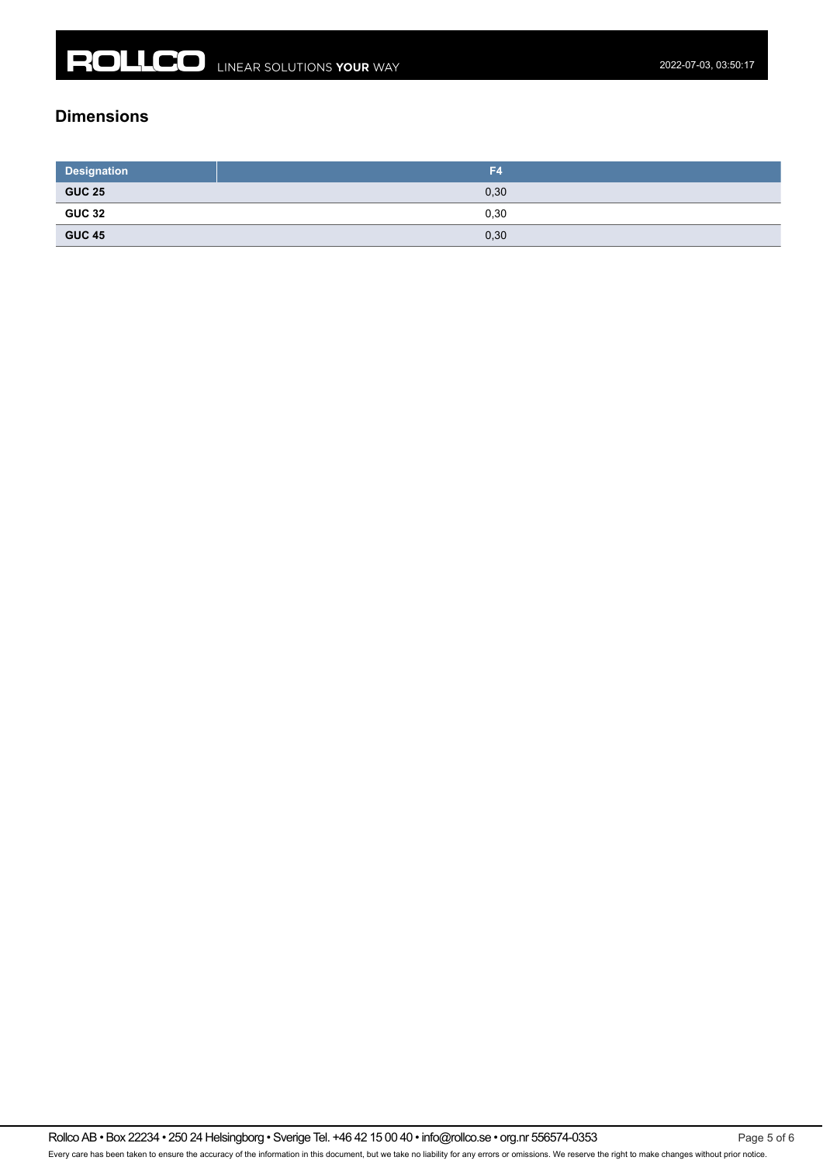#### **Dimensions**

| <b>Designation</b>                                                                                                                     | F4   |
|----------------------------------------------------------------------------------------------------------------------------------------|------|
| <b>GUC 25</b><br><u> Listen de la construcción de la construcción de la construcción de la construcción de la construcción de la c</u> | 0,30 |
| <b>GUC 32</b>                                                                                                                          | 0,30 |
| <b>GUC 45</b><br>the control of the control of                                                                                         | 0,30 |

Rollco AB • Box 22234 • 250 24 Helsingborg • Sverige Tel. +46 42 15 00 40 • info@rollco.se • org.nr 556574-0353 Page 5 of 6 Every care has been taken to ensure the accuracy of the information in this document, but we take no liability for any errors or omissions. We reserve the right to make changes without prior notice.